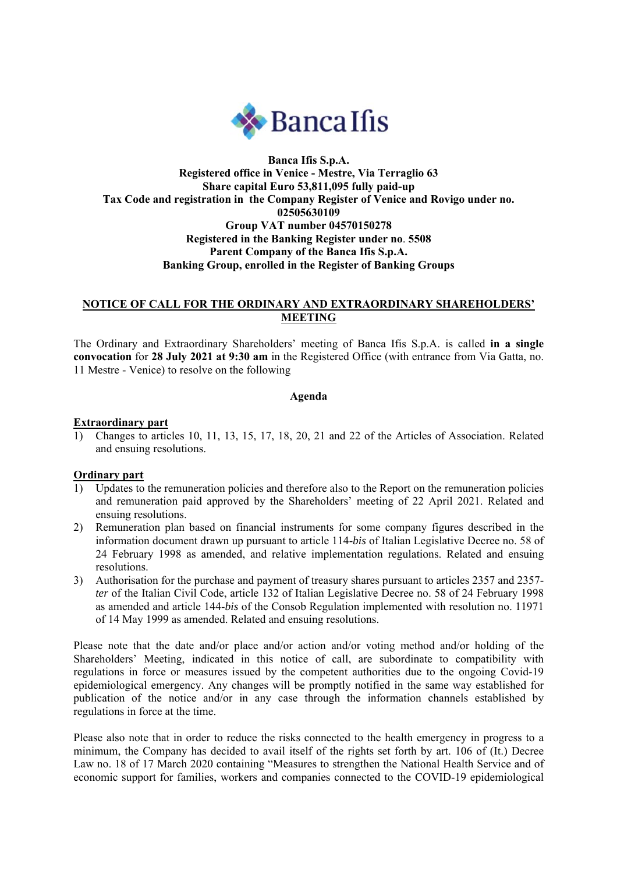

# **Banca Ifis S.p.A. Registered office in Venice - Mestre, Via Terraglio 63 Share capital Euro 53,811,095 fully paid-up Tax Code and registration in the Company Register of Venice and Rovigo under no. 02505630109 Group VAT number 04570150278 Registered in the Banking Register under no**. **5508 Parent Company of the Banca Ifis S.p.A. Banking Group, enrolled in the Register of Banking Groups**

## **NOTICE OF CALL FOR THE ORDINARY AND EXTRAORDINARY SHAREHOLDERS' MEETING**

The Ordinary and Extraordinary Shareholders' meeting of Banca Ifis S.p.A. is called **in a single convocation** for **28 July 2021 at 9:30 am** in the Registered Office (with entrance from Via Gatta, no. 11 Mestre - Venice) to resolve on the following

**Agenda** 

#### **Extraordinary part**

1) Changes to articles 10, 11, 13, 15, 17, 18, 20, 21 and 22 of the Articles of Association. Related and ensuing resolutions.

### **Ordinary part**

- 1) Updates to the remuneration policies and therefore also to the Report on the remuneration policies and remuneration paid approved by the Shareholders' meeting of 22 April 2021. Related and ensuing resolutions.
- 2) Remuneration plan based on financial instruments for some company figures described in the information document drawn up pursuant to article 114-*bis* of Italian Legislative Decree no. 58 of 24 February 1998 as amended, and relative implementation regulations. Related and ensuing resolutions.
- 3) Authorisation for the purchase and payment of treasury shares pursuant to articles 2357 and 2357 *ter* of the Italian Civil Code, article 132 of Italian Legislative Decree no. 58 of 24 February 1998 as amended and article 144-*bis* of the Consob Regulation implemented with resolution no. 11971 of 14 May 1999 as amended. Related and ensuing resolutions.

Please note that the date and/or place and/or action and/or voting method and/or holding of the Shareholders' Meeting, indicated in this notice of call, are subordinate to compatibility with regulations in force or measures issued by the competent authorities due to the ongoing Covid-19 epidemiological emergency. Any changes will be promptly notified in the same way established for publication of the notice and/or in any case through the information channels established by regulations in force at the time.

Please also note that in order to reduce the risks connected to the health emergency in progress to a minimum, the Company has decided to avail itself of the rights set forth by art. 106 of (It.) Decree Law no. 18 of 17 March 2020 containing "Measures to strengthen the National Health Service and of economic support for families, workers and companies connected to the COVID-19 epidemiological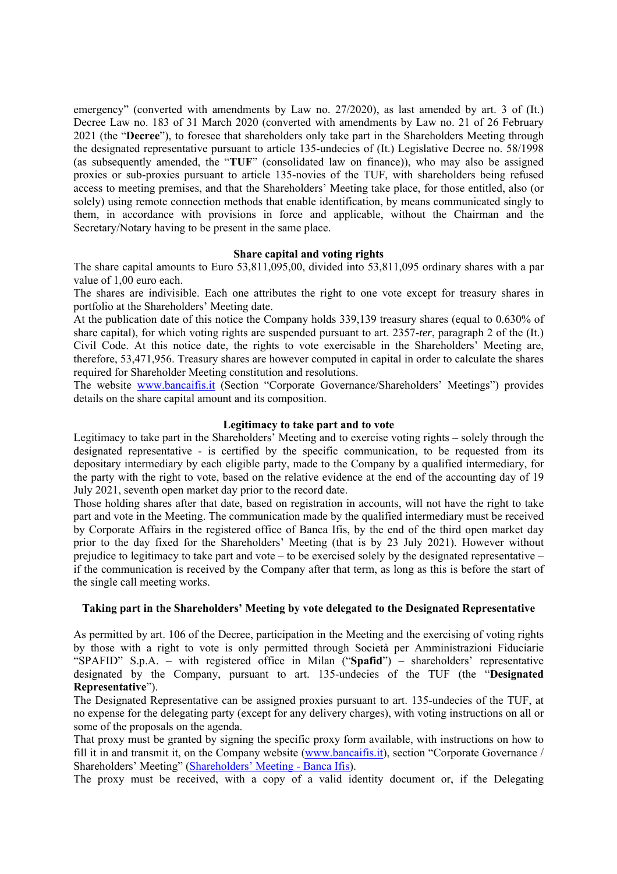emergency" (converted with amendments by Law no. 27/2020), as last amended by art. 3 of (It.) Decree Law no. 183 of 31 March 2020 (converted with amendments by Law no. 21 of 26 February 2021 (the "**Decree**"), to foresee that shareholders only take part in the Shareholders Meeting through the designated representative pursuant to article 135-undecies of (It.) Legislative Decree no. 58/1998 (as subsequently amended, the "**TUF**" (consolidated law on finance)), who may also be assigned proxies or sub-proxies pursuant to article 135-novies of the TUF, with shareholders being refused access to meeting premises, and that the Shareholders' Meeting take place, for those entitled, also (or solely) using remote connection methods that enable identification, by means communicated singly to them, in accordance with provisions in force and applicable, without the Chairman and the Secretary/Notary having to be present in the same place.

#### **Share capital and voting rights**

The share capital amounts to Euro 53,811,095,00, divided into 53,811,095 ordinary shares with a par value of 1,00 euro each.

The shares are indivisible. Each one attributes the right to one vote except for treasury shares in portfolio at the Shareholders' Meeting date.

At the publication date of this notice the Company holds 339,139 treasury shares (equal to 0.630% of share capital), for which voting rights are suspended pursuant to art. 2357-*ter*, paragraph 2 of the (It.) Civil Code. At this notice date, the rights to vote exercisable in the Shareholders' Meeting are, therefore, 53,471,956. Treasury shares are however computed in capital in order to calculate the shares required for Shareholder Meeting constitution and resolutions.

The website www.bancaifis.it (Section "Corporate Governance/Shareholders' Meetings") provides details on the share capital amount and its composition.

#### **Legitimacy to take part and to vote**

Legitimacy to take part in the Shareholders' Meeting and to exercise voting rights – solely through the designated representative - is certified by the specific communication, to be requested from its depositary intermediary by each eligible party, made to the Company by a qualified intermediary, for the party with the right to vote, based on the relative evidence at the end of the accounting day of 19 July 2021, seventh open market day prior to the record date.

Those holding shares after that date, based on registration in accounts, will not have the right to take part and vote in the Meeting. The communication made by the qualified intermediary must be received by Corporate Affairs in the registered office of Banca Ifis, by the end of the third open market day prior to the day fixed for the Shareholders' Meeting (that is by 23 July 2021). However without prejudice to legitimacy to take part and vote – to be exercised solely by the designated representative – if the communication is received by the Company after that term, as long as this is before the start of the single call meeting works.

### **Taking part in the Shareholders' Meeting by vote delegated to the Designated Representative**

As permitted by art. 106 of the Decree, participation in the Meeting and the exercising of voting rights by those with a right to vote is only permitted through Società per Amministrazioni Fiduciarie "SPAFID" S.p.A. – with registered office in Milan ("**Spafid**") – shareholders' representative designated by the Company, pursuant to art. 135-undecies of the TUF (the "**Designated Representative**").

The Designated Representative can be assigned proxies pursuant to art. 135-undecies of the TUF, at no expense for the delegating party (except for any delivery charges), with voting instructions on all or some of the proposals on the agenda.

That proxy must be granted by signing the specific proxy form available, with instructions on how to fill it in and transmit it, on the Company website (www.bancaifis.it), section "Corporate Governance / Shareholders' Meeting" (Shareholders' Meeting - Banca Ifis).

The proxy must be received, with a copy of a valid identity document or, if the Delegating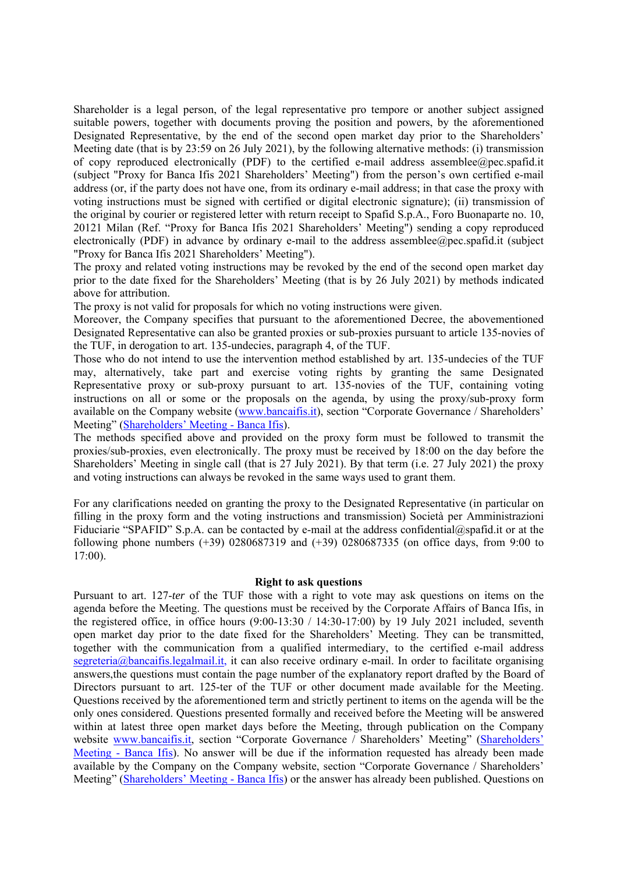Shareholder is a legal person, of the legal representative pro tempore or another subject assigned suitable powers, together with documents proving the position and powers, by the aforementioned Designated Representative, by the end of the second open market day prior to the Shareholders' Meeting date (that is by 23:59 on 26 July 2021), by the following alternative methods: (i) transmission of copy reproduced electronically (PDF) to the certified e-mail address assemblee@pec.spafid.it (subject "Proxy for Banca Ifis 2021 Shareholders' Meeting") from the person's own certified e-mail address (or, if the party does not have one, from its ordinary e-mail address; in that case the proxy with voting instructions must be signed with certified or digital electronic signature); (ii) transmission of the original by courier or registered letter with return receipt to Spafid S.p.A., Foro Buonaparte no. 10, 20121 Milan (Ref. "Proxy for Banca Ifis 2021 Shareholders' Meeting") sending a copy reproduced electronically (PDF) in advance by ordinary e-mail to the address assemblee@pec.spafid.it (subject "Proxy for Banca Ifis 2021 Shareholders' Meeting").

The proxy and related voting instructions may be revoked by the end of the second open market day prior to the date fixed for the Shareholders' Meeting (that is by 26 July 2021) by methods indicated above for attribution.

The proxy is not valid for proposals for which no voting instructions were given.

Moreover, the Company specifies that pursuant to the aforementioned Decree, the abovementioned Designated Representative can also be granted proxies or sub-proxies pursuant to article 135-novies of the TUF, in derogation to art. 135-undecies, paragraph 4, of the TUF.

Those who do not intend to use the intervention method established by art. 135-undecies of the TUF may, alternatively, take part and exercise voting rights by granting the same Designated Representative proxy or sub-proxy pursuant to art. 135-novies of the TUF, containing voting instructions on all or some or the proposals on the agenda, by using the proxy/sub-proxy form available on the Company website (www.bancaifis.it), section "Corporate Governance / Shareholders' Meeting" (Shareholders' Meeting - Banca Ifis).

The methods specified above and provided on the proxy form must be followed to transmit the proxies/sub-proxies, even electronically. The proxy must be received by 18:00 on the day before the Shareholders' Meeting in single call (that is 27 July 2021). By that term (i.e. 27 July 2021) the proxy and voting instructions can always be revoked in the same ways used to grant them.

For any clarifications needed on granting the proxy to the Designated Representative (in particular on filling in the proxy form and the voting instructions and transmission) Società per Amministrazioni Fiduciarie "SPAFID" S.p.A. can be contacted by e-mail at the address confidential@spafid.it or at the following phone numbers (+39) 0280687319 and (+39) 0280687335 (on office days, from 9:00 to 17:00).

#### **Right to ask questions**

Pursuant to art. 127-*ter* of the TUF those with a right to vote may ask questions on items on the agenda before the Meeting. The questions must be received by the Corporate Affairs of Banca Ifis, in the registered office, in office hours (9:00-13:30 / 14:30-17:00) by 19 July 2021 included, seventh open market day prior to the date fixed for the Shareholders' Meeting. They can be transmitted, together with the communication from a qualified intermediary, to the certified e-mail address segreteria@bancaifis.legalmail.it, it can also receive ordinary e-mail. In order to facilitate organising answers,the questions must contain the page number of the explanatory report drafted by the Board of Directors pursuant to art. 125-ter of the TUF or other document made available for the Meeting. Questions received by the aforementioned term and strictly pertinent to items on the agenda will be the only ones considered. Questions presented formally and received before the Meeting will be answered within at latest three open market days before the Meeting, through publication on the Company website www.bancaifis.it, section "Corporate Governance / Shareholders' Meeting" (Shareholders' Meeting - Banca Ifis). No answer will be due if the information requested has already been made available by the Company on the Company website, section "Corporate Governance / Shareholders' Meeting" (Shareholders' Meeting - Banca Ifis) or the answer has already been published. Questions on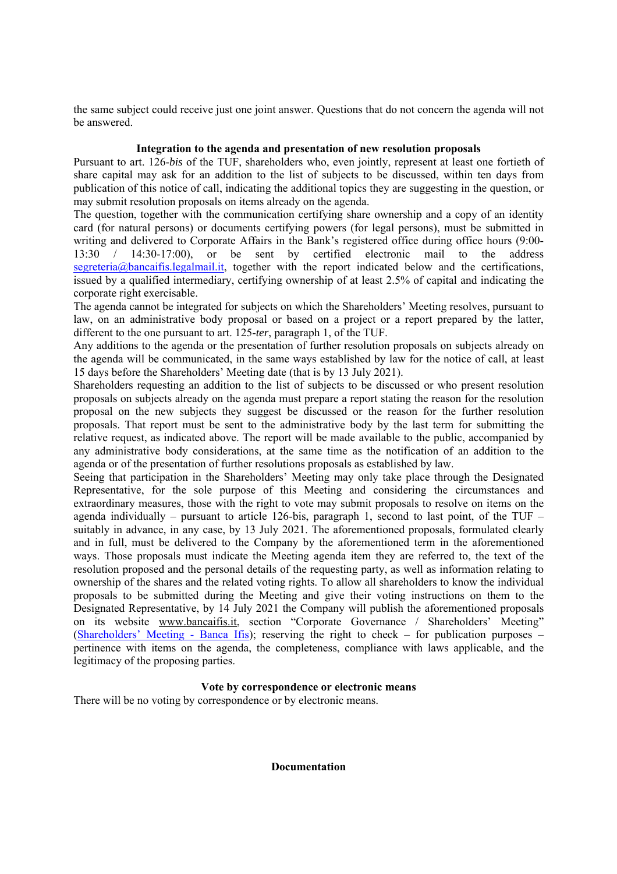the same subject could receive just one joint answer. Questions that do not concern the agenda will not be answered.

### **Integration to the agenda and presentation of new resolution proposals**

Pursuant to art. 126-*bis* of the TUF, shareholders who, even jointly, represent at least one fortieth of share capital may ask for an addition to the list of subjects to be discussed, within ten days from publication of this notice of call, indicating the additional topics they are suggesting in the question, or may submit resolution proposals on items already on the agenda.

The question, together with the communication certifying share ownership and a copy of an identity card (for natural persons) or documents certifying powers (for legal persons), must be submitted in writing and delivered to Corporate Affairs in the Bank's registered office during office hours (9:00- 13:30 / 14:30-17:00), or be sent by certified electronic mail to the address segreteria@bancaifis.legalmail.it, together with the report indicated below and the certifications, issued by a qualified intermediary, certifying ownership of at least 2.5% of capital and indicating the corporate right exercisable.

The agenda cannot be integrated for subjects on which the Shareholders' Meeting resolves, pursuant to law, on an administrative body proposal or based on a project or a report prepared by the latter, different to the one pursuant to art. 125-*ter*, paragraph 1, of the TUF.

Any additions to the agenda or the presentation of further resolution proposals on subjects already on the agenda will be communicated, in the same ways established by law for the notice of call, at least 15 days before the Shareholders' Meeting date (that is by 13 July 2021).

Shareholders requesting an addition to the list of subjects to be discussed or who present resolution proposals on subjects already on the agenda must prepare a report stating the reason for the resolution proposal on the new subjects they suggest be discussed or the reason for the further resolution proposals. That report must be sent to the administrative body by the last term for submitting the relative request, as indicated above. The report will be made available to the public, accompanied by any administrative body considerations, at the same time as the notification of an addition to the agenda or of the presentation of further resolutions proposals as established by law.

Seeing that participation in the Shareholders' Meeting may only take place through the Designated Representative, for the sole purpose of this Meeting and considering the circumstances and extraordinary measures, those with the right to vote may submit proposals to resolve on items on the agenda individually – pursuant to article 126-bis, paragraph 1, second to last point, of the TUF – suitably in advance, in any case, by 13 July 2021. The aforementioned proposals, formulated clearly and in full, must be delivered to the Company by the aforementioned term in the aforementioned ways. Those proposals must indicate the Meeting agenda item they are referred to, the text of the resolution proposed and the personal details of the requesting party, as well as information relating to ownership of the shares and the related voting rights. To allow all shareholders to know the individual proposals to be submitted during the Meeting and give their voting instructions on them to the Designated Representative, by 14 July 2021 the Company will publish the aforementioned proposals on its website www.bancaifis.it, section "Corporate Governance / Shareholders' Meeting" (Shareholders' Meeting - Banca Ifis); reserving the right to check – for publication purposes – pertinence with items on the agenda, the completeness, compliance with laws applicable, and the legitimacy of the proposing parties.

### **Vote by correspondence or electronic means**

There will be no voting by correspondence or by electronic means.

**Documentation**